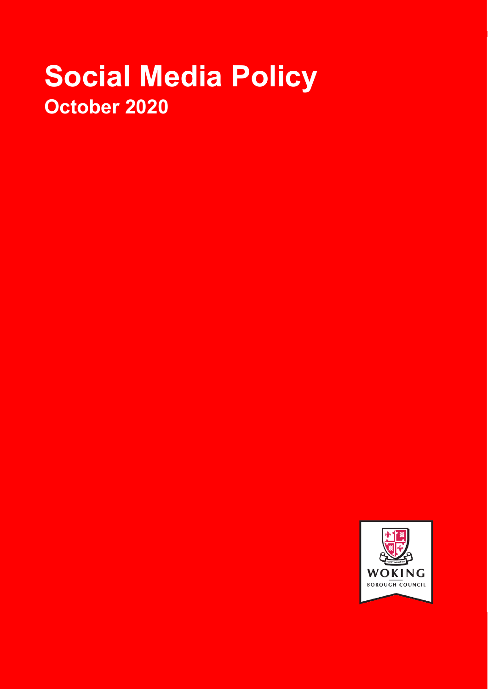# **Social Media Policy October 2020**

**WOKING BOROUGH COUNCIL**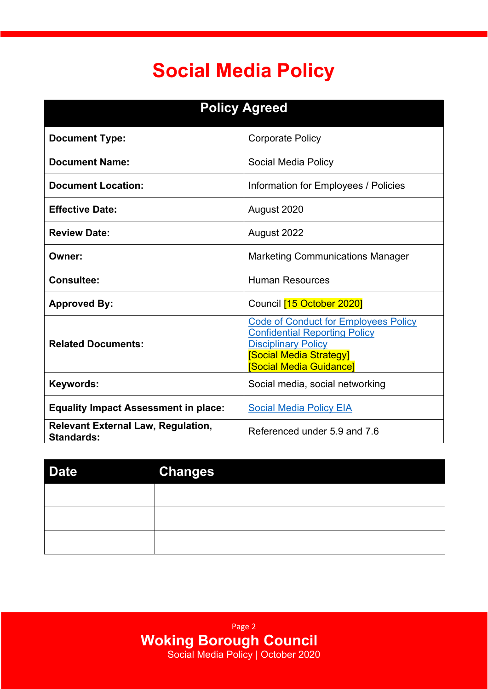## **Social Media Policy**

Ī

| <b>Policy Agreed</b>                                           |                                                                                                                                                                                    |  |
|----------------------------------------------------------------|------------------------------------------------------------------------------------------------------------------------------------------------------------------------------------|--|
| <b>Document Type:</b>                                          | <b>Corporate Policy</b>                                                                                                                                                            |  |
| <b>Document Name:</b>                                          | Social Media Policy                                                                                                                                                                |  |
| <b>Document Location:</b>                                      | Information for Employees / Policies                                                                                                                                               |  |
| <b>Effective Date:</b>                                         | August 2020                                                                                                                                                                        |  |
| <b>Review Date:</b>                                            | August 2022                                                                                                                                                                        |  |
| Owner:                                                         | <b>Marketing Communications Manager</b>                                                                                                                                            |  |
| <b>Consultee:</b>                                              | <b>Human Resources</b>                                                                                                                                                             |  |
| <b>Approved By:</b>                                            | Council <a>[15</a> October2020                                                                                                                                                     |  |
| <b>Related Documents:</b>                                      | <b>Code of Conduct for Employees Policy</b><br><b>Confidential Reporting Policy</b><br><b>Disciplinary Policy</b><br><b>Social Media Strategy</b><br><b>Social Media Guidancel</b> |  |
| Keywords:                                                      | Social media, social networking                                                                                                                                                    |  |
| <b>Equality Impact Assessment in place:</b>                    | <b>Social Media Policy EIA</b>                                                                                                                                                     |  |
| <b>Relevant External Law, Regulation,</b><br><b>Standards:</b> | Referenced under 5.9 and 7.6                                                                                                                                                       |  |

| <b>Date</b> | <b>Changes</b> |
|-------------|----------------|
|             |                |
|             |                |
|             |                |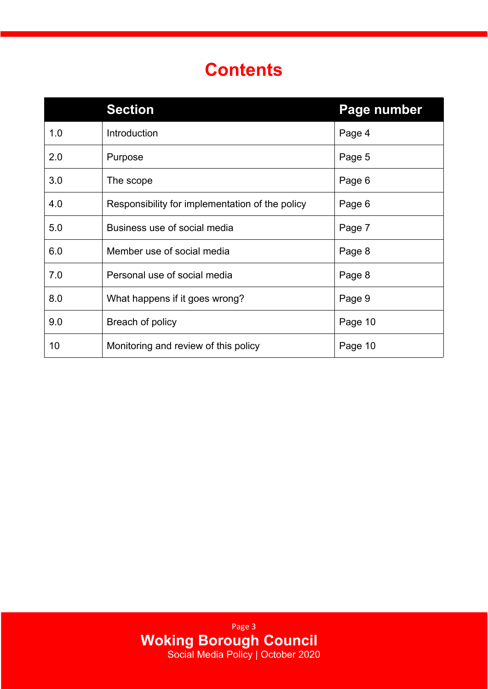### **Contents**

Ī

|     | <b>Section</b>                                  | Page number |
|-----|-------------------------------------------------|-------------|
| 1.0 | Introduction                                    | Page 4      |
| 2.0 | Purpose                                         | Page 5      |
| 3.0 | The scope                                       | Page 6      |
| 4.0 | Responsibility for implementation of the policy | Page 6      |
| 5.0 | Business use of social media                    | Page 7      |
| 6.0 | Member use of social media                      | Page 8      |
| 7.0 | Personal use of social media                    | Page 8      |
| 8.0 | What happens if it goes wrong?                  | Page 9      |
| 9.0 | Breach of policy                                | Page 10     |
| 10  | Monitoring and review of this policy            | Page 10     |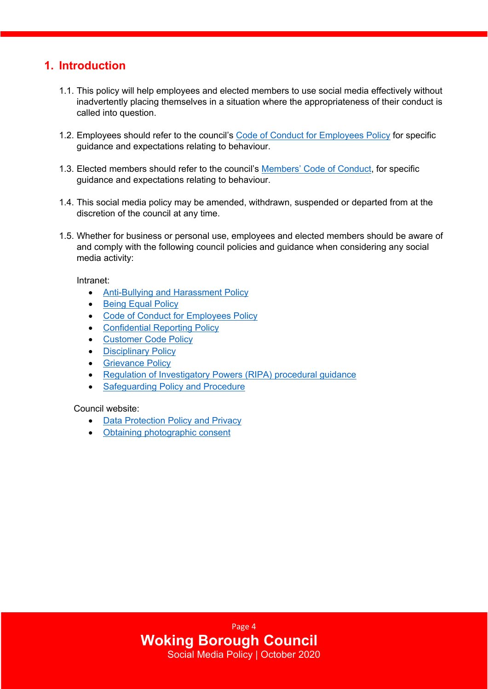#### **1. Introduction**

Ī

- 1.1. This policy will help employees and elected members to use social media effectively without inadvertently placing themselves in a situation where the appropriateness of their conduct is called into question.
- 1.2. [Employees](http://wbcsp16/sites/documentsi/InformationEmployees/Code%20of%20Conduct%20For%20Employees%20Policy.pdf) should refer to the council's Code of Conduct for Employees Policy for specific guidance and expectations relating to behaviour.
- 1.3. Elected members should refer to the council's [Members'](https://woking.gov.uk/council-and-democracy/councillors-and-committees/roles-responsibilities-and-allowances/councillors-0) Code of Conduct, for specific guidance and expectations relating to behaviour.
- 1.4. This social media policy may be amended, withdrawn, suspended or departed from at the discretion of the council at any time.
- 1.5. Whether for business or personal use, employees and elected members should be aware of and comply with the following council policies and guidance when considering any social media activity:

Intranet:

- [Anti-Bullying](http://wbcsp16/sites/documentsi/InformationEmployees/Anti-Bullying%20and%20Harassment%20Policy.pdf) and Harassment Policy
- Being Equal [Policy](http://wbcsp16/sites/documentsi/InformationEmployees/Being%20Equal%20Policy.pdf)
- Code of Conduct for [Employees](http://wbcsp16/sites/documentsi/InformationEmployees/Code%20of%20Conduct%20For%20Employees%20Policy.pdf) Policy
- [Confidential](http://wbcsp16/sites/documentsi/InformationEmployees/Confidential%20Reporting%20Policy.pdf) Reporting Policy
- [Customer](http://wbcsp16/sites/documentsi/InformationEmployees/Customer%20Code%20Policy.pdf) Code Policy
- [Disciplinary](http://wbcsp16/sites/documentsi/InformationEmployees/Disciplinary%20Policy.pdf) Policy
- [Grievance](http://wbcsp16/sites/documentsi/InformationEmployees/Grievance%20Policy.pdf) Policy
- Regulation of [Investigatory](http://wbcsp16/sites/documentsi/InformationEmployees/Regulation%20of%20Investigatory%20Powers%20Policy%20-%20Feb%202020.pdf) Powers (RIPA) procedural guidance
- [Safeguarding](http://wbcsp16/sites/documentsi/InformationEmployees/Safeguarding%20Policy.pdf) Policy and Procedure

Council website:

- Data [Protection](https://www.woking.gov.uk/data-and-transparency/data-protection-and-privacy) Policy and Privacy
- Obtaining [photographic](https://my.woking.gov.uk/service/Photoconsent) consent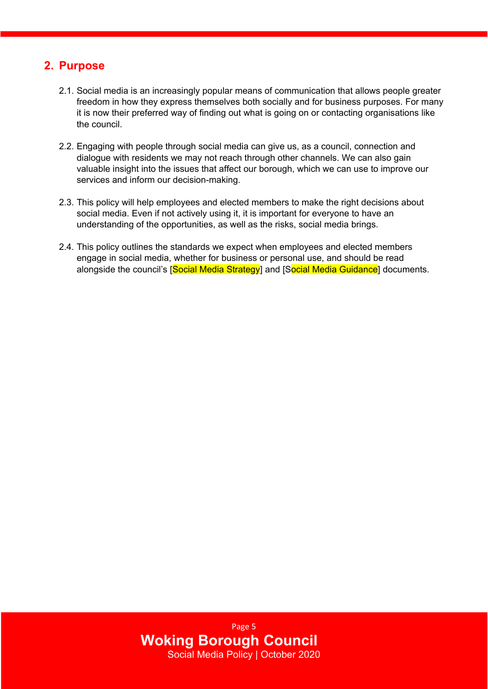#### **2. Purpose**

Ī

- 2.1. Social media is an increasingly popular means of communication that allows people greater freedom in how they express themselves both socially and for business purposes. For many it is now their preferred way of finding out what is going on or contacting organisations like the council.
- 2.2. Engaging with people through social media can give us, as a council, connection and dialogue with residents we may not reach through other channels. We can also gain valuable insight into the issues that affect our borough, which we can use to improve our services and inform our decision-making.
- 2.3. This policy will help employees and elected members to make the right decisions about social media. Even if not actively using it, it is important for everyone to have an understanding of the opportunities, as well as the risks, social media brings.
- 2.4. This policy outlines the standards we expect when employees and elected members engage in social media, whether for business or personal use, and should be read alongside the council's [Social Media Strategy] and [Social Media Guidance] documents.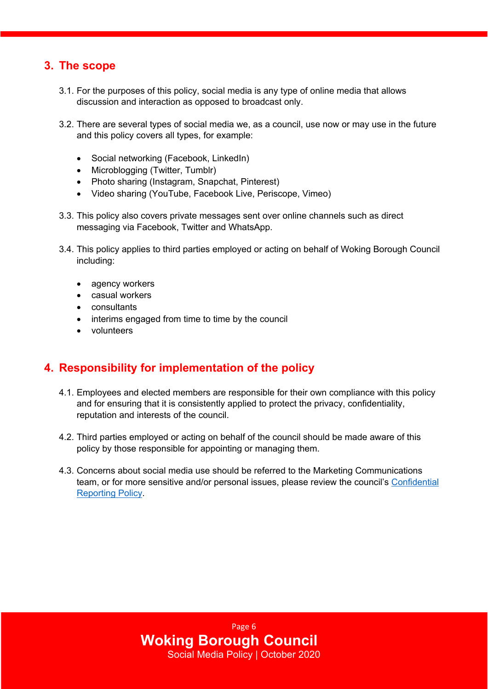#### **3. The scope**

Ī

- 3.1. For the purposes of this policy, social media is any type of online media that allows discussion and interaction as opposed to broadcast only.
- 3.2. There are several types of social media we, as a council, use now or may use in the future and this policy covers all types, for example:
	- Social networking (Facebook, LinkedIn)
	- Microblogging (Twitter, Tumblr)
	- Photo sharing (Instagram, Snapchat, Pinterest)
	- Video sharing (YouTube, Facebook Live, Periscope, Vimeo)
- 3.3. This policy also covers private messages sent over online channels such as direct messaging via Facebook, Twitter and WhatsApp.
- 3.4. This policy applies to third parties employed or acting on behalf of Woking Borough Council including:
	- agency workers
	- casual workers
	- consultants
	- interims engaged from time to time by the council
	- volunteers

#### **4. Responsibility for implementation of the policy**

- 4.1. Employees and elected members are responsible for their own compliance with this policy and for ensuring that it is consistently applied to protect the privacy, confidentiality, reputation and interests of the council.
- 4.2. Third parties employed or acting on behalf of the council should be made aware of this policy by those responsible for appointing or managing them.
- 4.3. Concerns about social media use should be referred to the Marketing Communications team, or for more sensitive and/or personal issues, please review the council's [Confidential](http://wbcsp16/sites/documentsi/InformationEmployees/Confidential%20Reporting%20Policy.pdf) [Reporting](http://wbcsp16/sites/documentsi/InformationEmployees/Confidential%20Reporting%20Policy.pdf) Policy.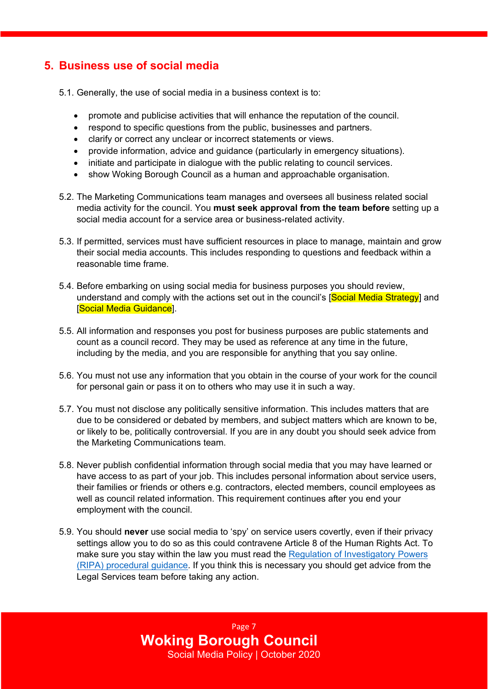#### **5. Business use of social media**

Ī

- 5.1. Generally, the use of social media in a business context is to:
	- promote and publicise activities that will enhance the reputation of the council.
	- respond to specific questions from the public, businesses and partners.
	- clarify or correct any unclear or incorrect statements or views.
	- provide information, advice and guidance (particularly in emergency situations).
	- initiate and participate in dialogue with the public relating to council services.
	- show Woking Borough Council as a human and approachable organisation.
- 5.2. The Marketing Communications team manages and oversees all business related social media activity for the council. You **must seek approval from the team before** setting up a social media account for a service area or business-related activity.
- 5.3. If permitted, services must have sufficient resources in place to manage, maintain and grow their social media accounts. This includes responding to questions and feedback within a reasonable time frame.
- 5.4. Before embarking on using social media for business purposes you should review, understand and comply with the actions set out in the council's [Social Media Strategy] and [Social Media Guidance].
- 5.5. All information and responses you post for business purposes are public statements and count as a council record. They may be used as reference at any time in the future, including by the media, and you are responsible for anything that you say online.
- 5.6. You must not use any information that you obtain in the course of your work for the council for personal gain or pass it on to others who may use it in such a way.
- 5.7. You must not disclose any politically sensitive information. This includes matters that are due to be considered or debated by members, and subject matters which are known to be, or likely to be, politically controversial. If you are in any doubt you should seek advice from the Marketing Communications team.
- 5.8. Never publish confidential information through social media that you may have learned or have access to as part of your job. This includes personal information about service users, their families or friends or others e.g. contractors, elected members, council employees as well as council related information. This requirement continues after you end your employment with the council.
- 5.9. You should **never** use social media to 'spy' on service users covertly, even if their privacy settings allow you to do so as this could contravene Article 8 of the Human Rights Act. To make sure you stay within the law you must read the Regulation of [Investigatory](http://wbcsp16/sites/documentsi/InformationEmployees/Regulation%20of%20Investigatory%20Powers%20Policy%20-%20Feb%202020.pdf) Powers (RIPA) [procedural](http://wbcsp16/sites/documentsi/InformationEmployees/Regulation%20of%20Investigatory%20Powers%20Policy%20-%20Feb%202020.pdf) guidance. If you think this is necessary you should get advice from the Legal Services team before taking any action.

Page 7 **Woking Borough Council** Social Media Policy | October 2020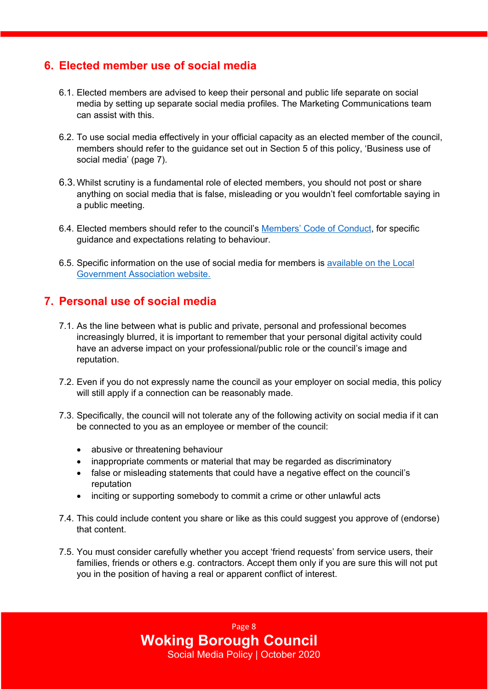#### **6. Elected member use of social media**

Ī

- 6.1. Elected members are advised to keep their personal and public life separate on social media by setting up separate social media profiles. The Marketing Communications team can assist with this.
- 6.2. To use social media effectively in your official capacity as an elected member of the council, members should refer to the guidance set out in Section 5 of this policy, 'Business use of social media' (page 7).
- 6.3.Whilst scrutiny is a fundamental role of elected members, you should not post or share anything on social media that is false, misleading or you wouldn't feel comfortable saying in a public meeting.
- 6.4. Elected members should refer to the council's [Members'](https://woking.gov.uk/council-and-democracy/councillors-and-committees/roles-responsibilities-and-allowances/councillors-0) Code of Conduct, for specific guidance and expectations relating to behaviour.
- 6.5. Specific information on the use of social media for members is [available](https://local.gov.uk/councillors-and-social-media) on the Local [Government](https://local.gov.uk/councillors-and-social-media) Association website.

#### **7. Personal use of social media**

- 7.1. As the line between what is public and private, personal and professional becomes increasingly blurred, it is important to remember that your personal digital activity could have an adverse impact on your professional/public role or the council's image and reputation.
- 7.2. Even if you do not expressly name the council as your employer on social media, this policy will still apply if a connection can be reasonably made.
- 7.3. Specifically, the council will not tolerate any of the following activity on social media if it can be connected to you as an employee or member of the council:
	- abusive or threatening behaviour
	- inappropriate comments or material that may be regarded as discriminatory
	- false or misleading statements that could have a negative effect on the council's reputation
	- inciting or supporting somebody to commit a crime or other unlawful acts
- 7.4. This could include content you share or like as this could suggest you approve of (endorse) that content.
- 7.5. You must consider carefully whether you accept 'friend requests' from service users, their families, friends or others e.g. contractors. Accept them only if you are sure this will not put you in the position of having a real or apparent conflict of interest.

Page 8 **Woking Borough Council** Social Media Policy | October 2020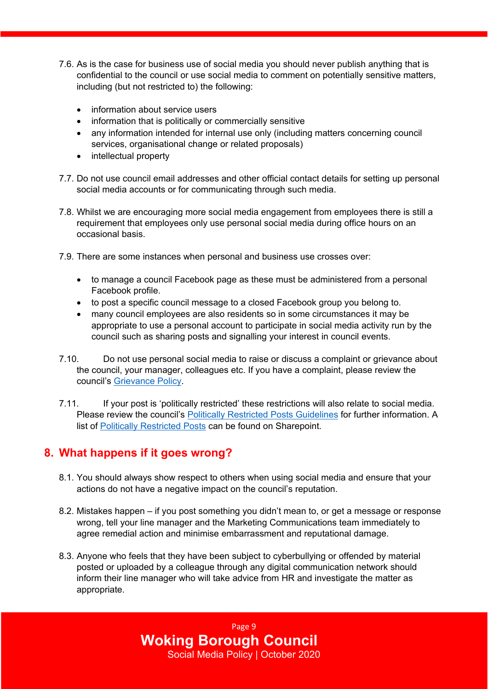- 7.6. As is the case for business use of social media you should never publish anything that is confidential to the council or use social media to comment on potentially sensitive matters, including (but not restricted to) the following:
	- information about service users
	- information that is politically or commercially sensitive
	- any information intended for internal use only (including matters concerning council services, organisational change or related proposals)
	- intellectual property

Ī

- 7.7. Do not use council email addresses and other official contact details for setting up personal social media accounts or for communicating through such media.
- 7.8. Whilst we are encouraging more social media engagement from employees there is still a requirement that employees only use personal social media during office hours on an occasional basis.
- 7.9. There are some instances when personal and business use crosses over:
	- to manage a council Facebook page as these must be administered from a personal Facebook profile.
	- to post a specific council message to a closed Facebook group you belong to.
	- many council employees are also residents so in some circumstances it may be appropriate to use a personal account to participate in social media activity run by the council such as sharing posts and signalling your interest in council events.
- 7.10. Do not use personal social media to raise or discuss a complaint or grievance about the council, your manager, colleagues etc. If you have a complaint, please review the council's [Grievance](http://wbcsp16/sites/documentsi/InformationEmployees/Grievance%20Policy.pdf) Policy.
- 7.11. If your post is 'politically restricted' these restrictions will also relate to social media. Please review the council's Politically Restricted Posts [Guidelines](http://wbcsp16/sites/documentsi/InformationEmployees/Politically%20Restricted%20Posts%20Guidelines.docx) for further information. A list of Politically [Restricted](http://wbcsp16/sites/documentsi/InformationEmployees/Politically%20Restricted%20posts.docx) Posts can be found on Sharepoint.

#### **8. What happens if it goes wrong?**

- 8.1. You should always show respect to others when using social media and ensure that your actions do not have a negative impact on the council's reputation.
- 8.2. Mistakes happen if you post something you didn't mean to, or get a message or response wrong, tell your line manager and the Marketing Communications team immediately to agree remedial action and minimise embarrassment and reputational damage.
- 8.3. Anyone who feels that they have been subject to cyberbullying or offended by material posted or uploaded by a colleague through any digital communication network should inform their line manager who will take advice from HR and investigate the matter as appropriate.

Page 9 **Woking Borough Council** Social Media Policy | October 2020